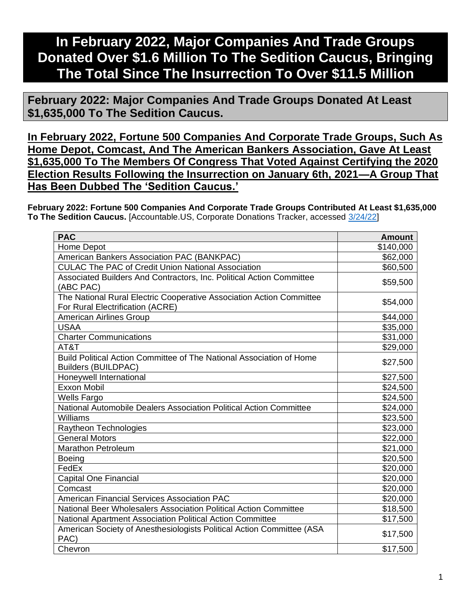## **In February 2022, Major Companies And Trade Groups Donated Over \$1.6 Million To The Sedition Caucus, Bringing The Total Since The Insurrection To Over \$11.5 Million**

**February 2022: Major Companies And Trade Groups Donated At Least \$1,635,000 To The Sedition Caucus.**

**In February 2022, Fortune 500 Companies And Corporate Trade Groups, Such As Home Depot, Comcast, And The American Bankers Association, Gave At Least \$1,635,000 To The Members Of Congress That Voted Against Certifying the 2020 Election Results Following the Insurrection on January 6th, 2021—A Group That Has Been Dubbed The 'Sedition Caucus.'**

**February 2022: Fortune 500 Companies And Corporate Trade Groups Contributed At Least \$1,635,000 To The Sedition Caucus.** [Accountable.US, Corporate Donations Tracker, accessed [3/24/22\]](https://www.accountable.us/corporate-donations-tracker/)

| <b>PAC</b>                                                                                               | <b>Amount</b> |
|----------------------------------------------------------------------------------------------------------|---------------|
| Home Depot                                                                                               | \$140,000     |
| American Bankers Association PAC (BANKPAC)                                                               | \$62,000      |
| <b>CULAC The PAC of Credit Union National Association</b>                                                | \$60,500      |
| Associated Builders And Contractors, Inc. Political Action Committee<br>(ABC PAC)                        | \$59,500      |
| The National Rural Electric Cooperative Association Action Committee<br>For Rural Electrification (ACRE) | \$54,000      |
| <b>American Airlines Group</b>                                                                           | \$44,000      |
| <b>USAA</b>                                                                                              | \$35,000      |
| <b>Charter Communications</b>                                                                            | \$31,000      |
| AT&T                                                                                                     | \$29,000      |
| Build Political Action Committee of The National Association of Home<br><b>Builders (BUILDPAC)</b>       | \$27,500      |
| Honeywell International                                                                                  | \$27,500      |
| <b>Exxon Mobil</b>                                                                                       | \$24,500      |
| <b>Wells Fargo</b>                                                                                       | \$24,500      |
| National Automobile Dealers Association Political Action Committee                                       | \$24,000      |
| Williams                                                                                                 | \$23,500      |
| Raytheon Technologies                                                                                    | \$23,000      |
| <b>General Motors</b>                                                                                    | \$22,000      |
| <b>Marathon Petroleum</b>                                                                                | \$21,000      |
| <b>Boeing</b>                                                                                            | \$20,500      |
| FedEx                                                                                                    | \$20,000      |
| <b>Capital One Financial</b>                                                                             | \$20,000      |
| Comcast                                                                                                  | \$20,000      |
| American Financial Services Association PAC                                                              | \$20,000      |
| National Beer Wholesalers Association Political Action Committee                                         | \$18,500      |
| National Apartment Association Political Action Committee                                                | \$17,500      |
| American Society of Anesthesiologists Political Action Committee (ASA<br>PAC)                            | \$17,500      |
| Chevron                                                                                                  | \$17,500      |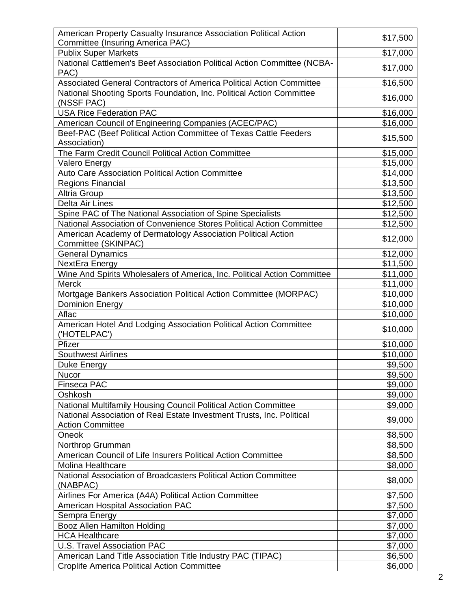| American Property Casualty Insurance Association Political Action                   |          |
|-------------------------------------------------------------------------------------|----------|
|                                                                                     | \$17,500 |
| Committee (Insuring America PAC)                                                    |          |
| <b>Publix Super Markets</b>                                                         | \$17,000 |
| National Cattlemen's Beef Association Political Action Committee (NCBA-<br>PAC)     | \$17,000 |
| Associated General Contractors of America Political Action Committee                | \$16,500 |
| National Shooting Sports Foundation, Inc. Political Action Committee                |          |
| (NSSF PAC)                                                                          | \$16,000 |
| <b>USA Rice Federation PAC</b>                                                      | \$16,000 |
| American Council of Engineering Companies (ACEC/PAC)                                | \$16,000 |
| Beef-PAC (Beef Political Action Committee of Texas Cattle Feeders                   |          |
| Association)                                                                        | \$15,500 |
| The Farm Credit Council Political Action Committee                                  | \$15,000 |
| <b>Valero Energy</b>                                                                | \$15,000 |
| Auto Care Association Political Action Committee                                    | \$14,000 |
| Regions Financial                                                                   | \$13,500 |
| <b>Altria Group</b>                                                                 | \$13,500 |
| Delta Air Lines                                                                     | \$12,500 |
|                                                                                     |          |
| Spine PAC of The National Association of Spine Specialists                          | \$12,500 |
| National Association of Convenience Stores Political Action Committee               | \$12,500 |
| American Academy of Dermatology Association Political Action<br>Committee (SKINPAC) | \$12,000 |
| <b>General Dynamics</b>                                                             | \$12,000 |
| NextEra Energy                                                                      | \$11,500 |
| Wine And Spirits Wholesalers of America, Inc. Political Action Committee            | \$11,000 |
| Merck                                                                               | \$11,000 |
| Mortgage Bankers Association Political Action Committee (MORPAC)                    | \$10,000 |
| <b>Dominion Energy</b>                                                              | \$10,000 |
| Aflac                                                                               | \$10,000 |
|                                                                                     |          |
| American Hotel And Lodging Association Political Action Committee<br>('HOTELPAC')   | \$10,000 |
| Pfizer                                                                              | \$10,000 |
| <b>Southwest Airlines</b>                                                           | \$10,000 |
| Duke Energy                                                                         | \$9,500  |
| <b>Nucor</b>                                                                        | \$9,500  |
| Finseca PAC                                                                         | \$9,000  |
| Oshkosh                                                                             | \$9,000  |
| National Multifamily Housing Council Political Action Committee                     | \$9,000  |
| National Association of Real Estate Investment Trusts, Inc. Political               |          |
| <b>Action Committee</b>                                                             | \$9,000  |
| Oneok                                                                               | \$8,500  |
| Northrop Grumman                                                                    | \$8,500  |
| American Council of Life Insurers Political Action Committee                        | \$8,500  |
| <b>Molina Healthcare</b>                                                            | \$8,000  |
| National Association of Broadcasters Political Action Committee                     |          |
| (NABPAC)                                                                            | \$8,000  |
| Airlines For America (A4A) Political Action Committee                               | \$7,500  |
| American Hospital Association PAC                                                   | \$7,500  |
| Sempra Energy                                                                       | \$7,000  |
| Booz Allen Hamilton Holding                                                         | \$7,000  |
| <b>HCA Healthcare</b>                                                               | \$7,000  |
| <b>U.S. Travel Association PAC</b>                                                  | \$7,000  |
| American Land Title Association Title Industry PAC (TIPAC)                          | \$6,500  |
| <b>Croplife America Political Action Committee</b>                                  | \$6,000  |
|                                                                                     |          |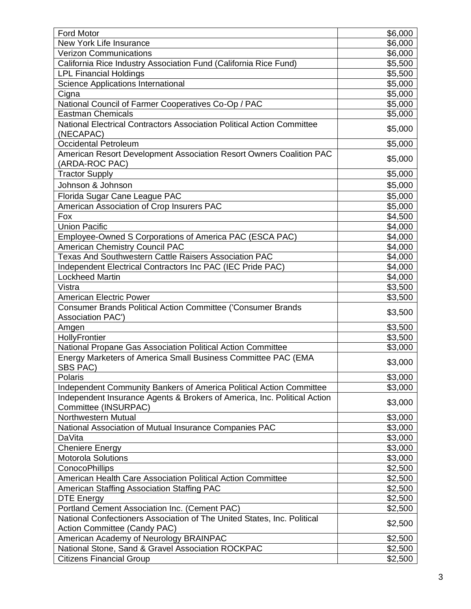| Ford Motor                                                                                              | \$6,000              |
|---------------------------------------------------------------------------------------------------------|----------------------|
| New York Life Insurance                                                                                 | \$6,000              |
| <b>Verizon Communications</b>                                                                           | \$6,000              |
| California Rice Industry Association Fund (California Rice Fund)                                        | \$5,500              |
| <b>LPL Financial Holdings</b>                                                                           | \$5,500              |
| Science Applications International                                                                      | \$5,000              |
|                                                                                                         | \$5,000              |
| Cigna                                                                                                   |                      |
| National Council of Farmer Cooperatives Co-Op / PAC<br><b>Eastman Chemicals</b>                         | \$5,000              |
|                                                                                                         | \$5,000              |
| National Electrical Contractors Association Political Action Committee<br>(NECAPAC)                     | \$5,000              |
| <b>Occidental Petroleum</b>                                                                             | \$5,000              |
| American Resort Development Association Resort Owners Coalition PAC<br>(ARDA-ROC PAC)                   | \$5,000              |
| <b>Tractor Supply</b>                                                                                   | \$5,000              |
| Johnson & Johnson                                                                                       | \$5,000              |
| Florida Sugar Cane League PAC                                                                           | \$5,000              |
| American Association of Crop Insurers PAC                                                               | \$5,000              |
| Fox                                                                                                     | \$4,500              |
| <b>Union Pacific</b>                                                                                    | \$4,000              |
| Employee-Owned S Corporations of America PAC (ESCA PAC)                                                 | \$4,000              |
| <b>American Chemistry Council PAC</b>                                                                   | \$4,000              |
| Texas And Southwestern Cattle Raisers Association PAC                                                   | \$4,000              |
| Independent Electrical Contractors Inc PAC (IEC Pride PAC)                                              | \$4,000              |
| <b>Lockheed Martin</b>                                                                                  |                      |
| Vistra                                                                                                  | \$4,000              |
|                                                                                                         | \$3,500              |
| <b>American Electric Power</b>                                                                          | $\overline{\$3,500}$ |
| <b>Consumer Brands Political Action Committee ('Consumer Brands</b><br><b>Association PAC')</b>         | \$3,500              |
| Amgen                                                                                                   | \$3,500              |
| HollyFrontier                                                                                           | \$3,500              |
| National Propane Gas Association Political Action Committee                                             | \$3,000              |
| Energy Marketers of America Small Business Committee PAC (EMA<br>SBS PAC)                               | \$3,000              |
| Polaris                                                                                                 | \$3,000              |
| Independent Community Bankers of America Political Action Committee                                     | \$3,000              |
| Independent Insurance Agents & Brokers of America, Inc. Political Action<br>Committee (INSURPAC)        | \$3,000              |
| Northwestern Mutual                                                                                     | \$3,000              |
| National Association of Mutual Insurance Companies PAC                                                  | \$3,000              |
| DaVita                                                                                                  | \$3,000              |
| <b>Cheniere Energy</b>                                                                                  | \$3,000              |
| Motorola Solutions                                                                                      | \$3,000              |
| <b>ConocoPhillips</b>                                                                                   | \$2,500              |
| American Health Care Association Political Action Committee                                             | \$2,500              |
|                                                                                                         |                      |
| American Staffing Association Staffing PAC                                                              | \$2,500              |
| <b>DTE Energy</b>                                                                                       | \$2,500              |
| Portland Cement Association Inc. (Cement PAC)                                                           | \$2,500              |
| National Confectioners Association of The United States, Inc. Political<br>Action Committee (Candy PAC) | \$2,500              |
| American Academy of Neurology BRAINPAC                                                                  | \$2,500              |
| National Stone, Sand & Gravel Association ROCKPAC                                                       | \$2,500              |
| <b>Citizens Financial Group</b>                                                                         | \$2,500              |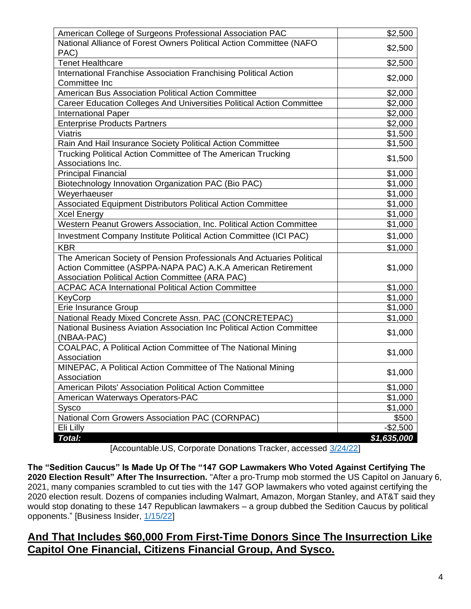| American College of Surgeons Professional Association PAC             | \$2,500             |
|-----------------------------------------------------------------------|---------------------|
| National Alliance of Forest Owners Political Action Committee (NAFO   |                     |
| PAC)                                                                  | \$2,500             |
| <b>Tenet Healthcare</b>                                               | \$2,500             |
| International Franchise Association Franchising Political Action      |                     |
| Committee Inc                                                         | \$2,000             |
| American Bus Association Political Action Committee                   | \$2,000             |
| Career Education Colleges And Universities Political Action Committee | \$2,000             |
| <b>International Paper</b>                                            | \$2,000             |
| <b>Enterprise Products Partners</b>                                   | \$2,000             |
| <b>Viatris</b>                                                        | \$1,500             |
| Rain And Hail Insurance Society Political Action Committee            | \$1,500             |
| Trucking Political Action Committee of The American Trucking          | \$1,500             |
| Associations Inc.                                                     |                     |
| <b>Principal Financial</b>                                            | \$1,000             |
| Biotechnology Innovation Organization PAC (Bio PAC)                   | \$1,000             |
| Weyerhaeuser                                                          | \$1,000             |
| Associated Equipment Distributors Political Action Committee          | \$1,000             |
| <b>Xcel Energy</b>                                                    | \$1,000             |
| Western Peanut Growers Association, Inc. Political Action Committee   | \$1,000             |
| Investment Company Institute Political Action Committee (ICI PAC)     | \$1,000             |
| <b>KBR</b>                                                            | \$1,000             |
| The American Society of Pension Professionals And Actuaries Political |                     |
| Action Committee (ASPPA-NAPA PAC) A.K.A American Retirement           | \$1,000             |
| Association Political Action Committee (ARA PAC)                      |                     |
| <b>ACPAC ACA International Political Action Committee</b>             | \$1,000             |
| KeyCorp                                                               | \$1,000             |
| Erie Insurance Group                                                  | \$1,000             |
| National Ready Mixed Concrete Assn. PAC (CONCRETEPAC)                 | \$1,000             |
| National Business Aviation Association Inc Political Action Committee | \$1,000             |
| (NBAA-PAC)                                                            |                     |
| COALPAC, A Political Action Committee of The National Mining          | \$1,000             |
| Association                                                           |                     |
| MINEPAC, A Political Action Committee of The National Mining          | \$1,000             |
| Association                                                           |                     |
| American Pilots' Association Political Action Committee               | \$1,000             |
| American Waterways Operators-PAC                                      | \$1,000             |
| Sysco                                                                 | $\overline{$}1,000$ |
| National Corn Growers Association PAC (CORNPAC)                       | \$500               |
| Eli Lilly                                                             | $-$2,500$           |
| Total:                                                                | \$1,635,000         |

[Accountable.US, Corporate Donations Tracker, accessed [3/24/22\]](https://www.accountable.us/corporate-donations-tracker/)

**The "Sedition Caucus" Is Made Up Of The "147 GOP Lawmakers Who Voted Against Certifying The 2020 Election Result" After The Insurrection.** "After a pro-Trump mob stormed the US Capitol on January 6, 2021, many companies scrambled to cut ties with the 147 GOP lawmakers who voted against certifying the 2020 election result. Dozens of companies including Walmart, Amazon, Morgan Stanley, and AT&T said they would stop donating to these 147 Republican lawmakers – a group dubbed the Sedition Caucus by political opponents." [Business Insider, [1/15/22\]](https://www.businessinsider.com/sedition-caucus-election-objectors-corporate-donations-capitol-siege-trump-biden-2022-1)

## **And That Includes \$60,000 From First-Time Donors Since The Insurrection Like Capitol One Financial, Citizens Financial Group, And Sysco.**